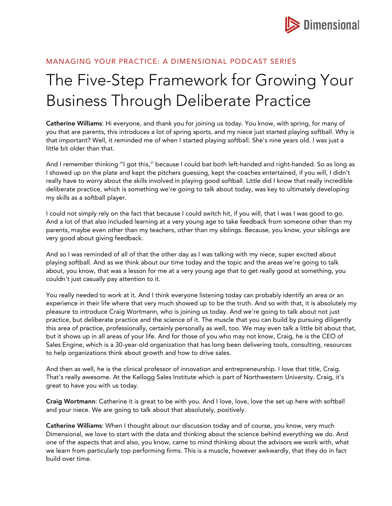

## MANAGING YOUR PRACTICE: A DIMENSIONAL PODCAST SERIES

# The Five-Step Framework for Growing Your Business Through Deliberate Practice

Catherine Williams: Hi everyone, and thank you for joining us today. You know, with spring, for many of you that are parents, this introduces a lot of spring sports, and my niece just started playing softball. Why is that important? Well, it reminded me of when I started playing softball. She's nine years old. I was just a little bit older than that.

And I remember thinking "I got this," because I could bat both left-handed and right-handed. So as long as I showed up on the plate and kept the pitchers guessing, kept the coaches entertained, if you will, I didn't really have to worry about the skills involved in playing good softball. Little did I know that really incredible deliberate practice, which is something we're going to talk about today, was key to ultimately developing my skills as a softball player.

I could not simply rely on the fact that because I could switch hit, if you will, that I was I was good to go. And a lot of that also included learning at a very young age to take feedback from someone other than my parents, maybe even other than my teachers, other than my siblings. Because, you know, your siblings are very good about giving feedback.

And so I was reminded of all of that the other day as I was talking with my niece, super excited about playing softball. And as we think about our time today and the topic and the areas we're going to talk about, you know, that was a lesson for me at a very young age that to get really good at something, you couldn't just casually pay attention to it.

You really needed to work at it. And I think everyone listening today can probably identify an area or an experience in their life where that very much showed up to be the truth. And so with that, it is absolutely my pleasure to introduce Craig Wortmann, who is joining us today. And we're going to talk about not just practice, but deliberate practice and the science of it. The muscle that you can build by pursuing diligently this area of practice, professionally, certainly personally as well, too. We may even talk a little bit about that, but it shows up in all areas of your life. And for those of you who may not know, Craig, he is the CEO of Sales Engine, which is a 30-year-old organization that has long been delivering tools, consulting, resources to help organizations think about growth and how to drive sales.

And then as well, he is the clinical professor of innovation and entrepreneurship. I love that title, Craig. That's really awesome. At the Kellogg Sales Institute which is part of Northwestern University. Craig, it's great to have you with us today.

Craig Wortmann: Catherine it is great to be with you. And I love, love, love the set up here with softball and your niece. We are going to talk about that absolutely, positively.

Catherine Williams: When I thought about our discussion today and of course, you know, very much Dimensional, we love to start with the data and thinking about the science behind everything we do. And one of the aspects that and also, you know, came to mind thinking about the advisors we work with, what we learn from particularly top performing firms. This is a muscle, however awkwardly, that they do in fact build over time.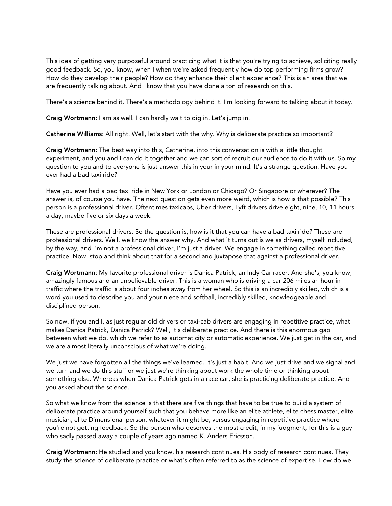This idea of getting very purposeful around practicing what it is that you're trying to achieve, soliciting really good feedback. So, you know, when I when we're asked frequently how do top performing firms grow? How do they develop their people? How do they enhance their client experience? This is an area that we are frequently talking about. And I know that you have done a ton of research on this.

There's a science behind it. There's a methodology behind it. I'm looking forward to talking about it today.

Craig Wortmann: I am as well. I can hardly wait to dig in. Let's jump in.

Catherine Williams: All right. Well, let's start with the why. Why is deliberate practice so important?

Craig Wortmann: The best way into this, Catherine, into this conversation is with a little thought experiment, and you and I can do it together and we can sort of recruit our audience to do it with us. So my question to you and to everyone is just answer this in your in your mind. It's a strange question. Have you ever had a bad taxi ride?

Have you ever had a bad taxi ride in New York or London or Chicago? Or Singapore or wherever? The answer is, of course you have. The next question gets even more weird, which is how is that possible? This person is a professional driver. Oftentimes taxicabs, Uber drivers, Lyft drivers drive eight, nine, 10, 11 hours a day, maybe five or six days a week.

These are professional drivers. So the question is, how is it that you can have a bad taxi ride? These are professional drivers. Well, we know the answer why. And what it turns out is we as drivers, myself included, by the way, and I'm not a professional driver, I'm just a driver. We engage in something called repetitive practice. Now, stop and think about that for a second and juxtapose that against a professional driver.

Craig Wortmann: My favorite professional driver is Danica Patrick, an Indy Car racer. And she's, you know, amazingly famous and an unbelievable driver. This is a woman who is driving a car 206 miles an hour in traffic where the traffic is about four inches away from her wheel. So this is an incredibly skilled, which is a word you used to describe you and your niece and softball, incredibly skilled, knowledgeable and disciplined person.

So now, if you and I, as just regular old drivers or taxi-cab drivers are engaging in repetitive practice, what makes Danica Patrick, Danica Patrick? Well, it's deliberate practice. And there is this enormous gap between what we do, which we refer to as automaticity or automatic experience. We just get in the car, and we are almost literally unconscious of what we're doing.

We just we have forgotten all the things we've learned. It's just a habit. And we just drive and we signal and we turn and we do this stuff or we just we're thinking about work the whole time or thinking about something else. Whereas when Danica Patrick gets in a race car, she is practicing deliberate practice. And you asked about the science.

So what we know from the science is that there are five things that have to be true to build a system of deliberate practice around yourself such that you behave more like an elite athlete, elite chess master, elite musician, elite Dimensional person, whatever it might be, versus engaging in repetitive practice where you're not getting feedback. So the person who deserves the most credit, in my judgment, for this is a guy who sadly passed away a couple of years ago named K. Anders Ericsson.

Craig Wortmann: He studied and you know, his research continues. His body of research continues. They study the science of deliberate practice or what's often referred to as the science of expertise. How do we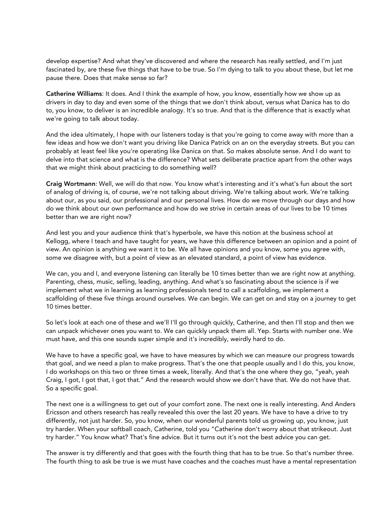develop expertise? And what they've discovered and where the research has really settled, and I'm just fascinated by, are these five things that have to be true. So I'm dying to talk to you about these, but let me pause there. Does that make sense so far?

Catherine Williams: It does. And I think the example of how, you know, essentially how we show up as drivers in day to day and even some of the things that we don't think about, versus what Danica has to do to, you know, to deliver is an incredible analogy. It's so true. And that is the difference that is exactly what we're going to talk about today.

And the idea ultimately, I hope with our listeners today is that you're going to come away with more than a few ideas and how we don't want you driving like Danica Patrick on an on the everyday streets. But you can probably at least feel like you're operating like Danica on that. So makes absolute sense. And I do want to delve into that science and what is the difference? What sets deliberate practice apart from the other ways that we might think about practicing to do something well?

Craig Wortmann: Well, we will do that now. You know what's interesting and it's what's fun about the sort of analog of driving is, of course, we're not talking about driving. We're talking about work. We're talking about our, as you said, our professional and our personal lives. How do we move through our days and how do we think about our own performance and how do we strive in certain areas of our lives to be 10 times better than we are right now?

And lest you and your audience think that's hyperbole, we have this notion at the business school at Kellogg, where I teach and have taught for years, we have this difference between an opinion and a point of view. An opinion is anything we want it to be. We all have opinions and you know, some you agree with, some we disagree with, but a point of view as an elevated standard, a point of view has evidence.

We can, you and I, and everyone listening can literally be 10 times better than we are right now at anything. Parenting, chess, music, selling, leading, anything. And what's so fascinating about the science is if we implement what we in learning as learning professionals tend to call a scaffolding, we implement a scaffolding of these five things around ourselves. We can begin. We can get on and stay on a journey to get 10 times better.

So let's look at each one of these and we'll I'll go through quickly, Catherine, and then I'll stop and then we can unpack whichever ones you want to. We can quickly unpack them all. Yep. Starts with number one. We must have, and this one sounds super simple and it's incredibly, weirdly hard to do.

We have to have a specific goal, we have to have measures by which we can measure our progress towards that goal, and we need a plan to make progress. That's the one that people usually and I do this, you know, I do workshops on this two or three times a week, literally. And that's the one where they go, "yeah, yeah Craig, I got, I got that, I got that." And the research would show we don't have that. We do not have that. So a specific goal.

The next one is a willingness to get out of your comfort zone. The next one is really interesting. And Anders Ericsson and others research has really revealed this over the last 20 years. We have to have a drive to try differently, not just harder. So, you know, when our wonderful parents told us growing up, you know, just try harder. When your softball coach, Catherine, told you "Catherine don't worry about that strikeout. Just try harder." You know what? That's fine advice. But it turns out it's not the best advice you can get.

The answer is try differently and that goes with the fourth thing that has to be true. So that's number three. The fourth thing to ask be true is we must have coaches and the coaches must have a mental representation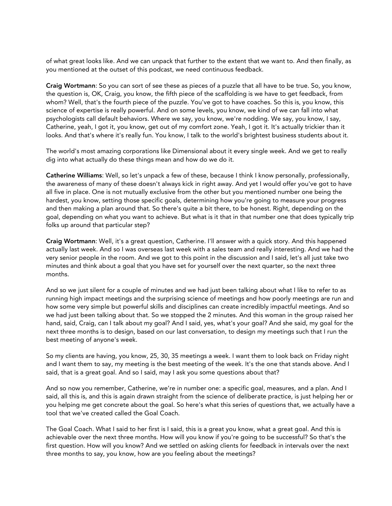of what great looks like. And we can unpack that further to the extent that we want to. And then finally, as you mentioned at the outset of this podcast, we need continuous feedback.

Craig Wortmann: So you can sort of see these as pieces of a puzzle that all have to be true. So, you know, the question is, OK, Craig, you know, the fifth piece of the scaffolding is we have to get feedback, from whom? Well, that's the fourth piece of the puzzle. You've got to have coaches. So this is, you know, this science of expertise is really powerful. And on some levels, you know, we kind of we can fall into what psychologists call default behaviors. Where we say, you know, we're nodding. We say, you know, I say, Catherine, yeah, I got it, you know, get out of my comfort zone. Yeah, I got it. It's actually trickier than it looks. And that's where it's really fun. You know, I talk to the world's brightest business students about it.

The world's most amazing corporations like Dimensional about it every single week. And we get to really dig into what actually do these things mean and how do we do it.

Catherine Williams: Well, so let's unpack a few of these, because I think I know personally, professionally, the awareness of many of these doesn't always kick in right away. And yet I would offer you've got to have all five in place. One is not mutually exclusive from the other but you mentioned number one being the hardest, you know, setting those specific goals, determining how you're going to measure your progress and then making a plan around that. So there's quite a bit there, to be honest. Right, depending on the goal, depending on what you want to achieve. But what is it that in that number one that does typically trip folks up around that particular step?

Craig Wortmann: Well, it's a great question, Catherine. I'll answer with a quick story. And this happened actually last week. And so I was overseas last week with a sales team and really interesting. And we had the very senior people in the room. And we got to this point in the discussion and I said, let's all just take two minutes and think about a goal that you have set for yourself over the next quarter, so the next three months.

And so we just silent for a couple of minutes and we had just been talking about what I like to refer to as running high impact meetings and the surprising science of meetings and how poorly meetings are run and how some very simple but powerful skills and disciplines can create incredibly impactful meetings. And so we had just been talking about that. So we stopped the 2 minutes. And this woman in the group raised her hand, said, Craig, can I talk about my goal? And I said, yes, what's your goal? And she said, my goal for the next three months is to design, based on our last conversation, to design my meetings such that I run the best meeting of anyone's week.

So my clients are having, you know, 25, 30, 35 meetings a week. I want them to look back on Friday night and I want them to say, my meeting is the best meeting of the week. It's the one that stands above. And I said, that is a great goal. And so I said, may I ask you some questions about that?

And so now you remember, Catherine, we're in number one: a specific goal, measures, and a plan. And I said, all this is, and this is again drawn straight from the science of deliberate practice, is just helping her or you helping me get concrete about the goal. So here's what this series of questions that, we actually have a tool that we've created called the Goal Coach.

The Goal Coach. What I said to her first is I said, this is a great you know, what a great goal. And this is achievable over the next three months. How will you know if you're going to be successful? So that's the first question. How will you know? And we settled on asking clients for feedback in intervals over the next three months to say, you know, how are you feeling about the meetings?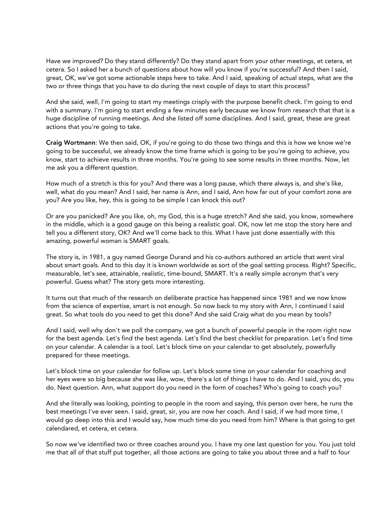Have we improved? Do they stand differently? Do they stand apart from your other meetings, et cetera, et cetera. So I asked her a bunch of questions about how will you know if you're successful? And then I said, great, OK, we've got some actionable steps here to take. And I said, speaking of actual steps, what are the two or three things that you have to do during the next couple of days to start this process?

And she said, well, I'm going to start my meetings crisply with the purpose benefit check. I'm going to end with a summary. I'm going to start ending a few minutes early because we know from research that that is a huge discipline of running meetings. And she listed off some disciplines. And I said, great, these are great actions that you're going to take.

Craig Wortmann: We then said, OK, if you're going to do those two things and this is how we know we're going to be successful, we already know the time frame which is going to be you're going to achieve, you know, start to achieve results in three months. You're going to see some results in three months. Now, let me ask you a different question.

How much of a stretch is this for you? And there was a long pause, which there always is, and she's like, well, what do you mean? And I said, her name is Ann, and I said, Ann how far out of your comfort zone are you? Are you like, hey, this is going to be simple I can knock this out?

Or are you panicked? Are you like, oh, my God, this is a huge stretch? And she said, you know, somewhere in the middle, which is a good gauge on this being a realistic goal. OK, now let me stop the story here and tell you a different story, OK? And we'll come back to this. What I have just done essentially with this amazing, powerful woman is SMART goals.

The story is, in 1981, a guy named George Durand and his co-authors authored an article that went viral about smart goals. And to this day it is known worldwide as sort of the goal setting process. Right? Specific, measurable, let's see, attainable, realistic, time-bound, SMART. It's a really simple acronym that's very powerful. Guess what? The story gets more interesting.

It turns out that much of the research on deliberate practice has happened since 1981 and we now know from the science of expertise, smart is not enough. So now back to my story with Ann, I continued I said great. So what tools do you need to get this done? And she said Craig what do you mean by tools?

And I said, well why don't we poll the company, we got a bunch of powerful people in the room right now for the best agenda. Let's find the best agenda. Let's find the best checklist for preparation. Let's find time on your calendar. A calendar is a tool. Let's block time on your calendar to get absolutely, powerfully prepared for these meetings.

Let's block time on your calendar for follow up. Let's block some time on your calendar for coaching and her eyes were so big because she was like, wow, there's a lot of things I have to do. And I said, you do, you do. Next question. Ann, what support do you need in the form of coaches? Who's going to coach you?

And she literally was looking, pointing to people in the room and saying, this person over here, he runs the best meetings I've ever seen. I said, great, sir, you are now her coach. And I said, if we had more time, I would go deep into this and I would say, how much time do you need from him? Where is that going to get calendared, et cetera, et cetera.

So now we've identified two or three coaches around you. I have my one last question for you. You just told me that all of that stuff put together, all those actions are going to take you about three and a half to four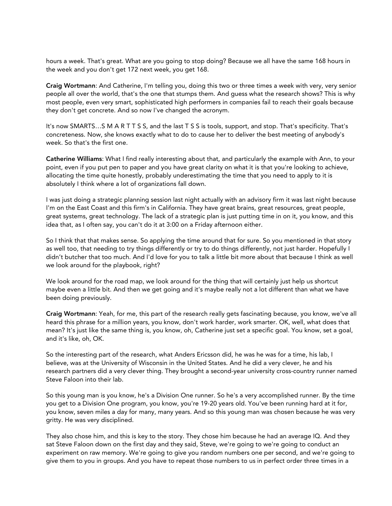hours a week. That's great. What are you going to stop doing? Because we all have the same 168 hours in the week and you don't get 172 next week, you get 168.

Craig Wortmann: And Catherine, I'm telling you, doing this two or three times a week with very, very senior people all over the world, that's the one that stumps them. And guess what the research shows? This is why most people, even very smart, sophisticated high performers in companies fail to reach their goals because they don't get concrete. And so now I've changed the acronym.

It's now SMARTS…S M A R T T S S, and the last T S S is tools, support, and stop. That's specificity. That's concreteness. Now, she knows exactly what to do to cause her to deliver the best meeting of anybody's week. So that's the first one.

Catherine Williams: What I find really interesting about that, and particularly the example with Ann, to your point, even if you put pen to paper and you have great clarity on what it is that you're looking to achieve, allocating the time quite honestly, probably underestimating the time that you need to apply to it is absolutely I think where a lot of organizations fall down.

I was just doing a strategic planning session last night actually with an advisory firm it was last night because I'm on the East Coast and this firm's in California. They have great brains, great resources, great people, great systems, great technology. The lack of a strategic plan is just putting time in on it, you know, and this idea that, as I often say, you can't do it at 3:00 on a Friday afternoon either.

So I think that that makes sense. So applying the time around that for sure. So you mentioned in that story as well too, that needing to try things differently or try to do things differently, not just harder. Hopefully I didn't butcher that too much. And I'd love for you to talk a little bit more about that because I think as well we look around for the playbook, right?

We look around for the road map, we look around for the thing that will certainly just help us shortcut maybe even a little bit. And then we get going and it's maybe really not a lot different than what we have been doing previously.

Craig Wortmann: Yeah, for me, this part of the research really gets fascinating because, you know, we've all heard this phrase for a million years, you know, don't work harder, work smarter. OK, well, what does that mean? It's just like the same thing is, you know, oh, Catherine just set a specific goal. You know, set a goal, and it's like, oh, OK.

So the interesting part of the research, what Anders Ericsson did, he was he was for a time, his lab, I believe, was at the University of Wisconsin in the United States. And he did a very clever, he and his research partners did a very clever thing. They brought a second-year university cross-country runner named Steve Faloon into their lab.

So this young man is you know, he's a Division One runner. So he's a very accomplished runner. By the time you get to a Division One program, you know, you're 19-20 years old. You've been running hard at it for, you know, seven miles a day for many, many years. And so this young man was chosen because he was very gritty. He was very disciplined.

They also chose him, and this is key to the story. They chose him because he had an average IQ. And they sat Steve Faloon down on the first day and they said, Steve, we're going to we're going to conduct an experiment on raw memory. We're going to give you random numbers one per second, and we're going to give them to you in groups. And you have to repeat those numbers to us in perfect order three times in a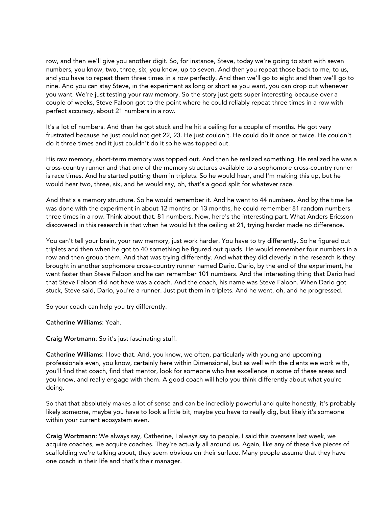row, and then we'll give you another digit. So, for instance, Steve, today we're going to start with seven numbers, you know, two, three, six, you know, up to seven. And then you repeat those back to me, to us, and you have to repeat them three times in a row perfectly. And then we'll go to eight and then we'll go to nine. And you can stay Steve, in the experiment as long or short as you want, you can drop out whenever you want. We're just testing your raw memory. So the story just gets super interesting because over a couple of weeks, Steve Faloon got to the point where he could reliably repeat three times in a row with perfect accuracy, about 21 numbers in a row.

It's a lot of numbers. And then he got stuck and he hit a ceiling for a couple of months. He got very frustrated because he just could not get 22, 23. He just couldn't. He could do it once or twice. He couldn't do it three times and it just couldn't do it so he was topped out.

His raw memory, short-term memory was topped out. And then he realized something. He realized he was a cross-country runner and that one of the memory structures available to a sophomore cross-country runner is race times. And he started putting them in triplets. So he would hear, and I'm making this up, but he would hear two, three, six, and he would say, oh, that's a good split for whatever race.

And that's a memory structure. So he would remember it. And he went to 44 numbers. And by the time he was done with the experiment in about 12 months or 13 months, he could remember 81 random numbers three times in a row. Think about that. 81 numbers. Now, here's the interesting part. What Anders Ericsson discovered in this research is that when he would hit the ceiling at 21, trying harder made no difference.

You can't tell your brain, your raw memory, just work harder. You have to try differently. So he figured out triplets and then when he got to 40 something he figured out quads. He would remember four numbers in a row and then group them. And that was trying differently. And what they did cleverly in the research is they brought in another sophomore cross-country runner named Dario. Dario, by the end of the experiment, he went faster than Steve Faloon and he can remember 101 numbers. And the interesting thing that Dario had that Steve Faloon did not have was a coach. And the coach, his name was Steve Faloon. When Dario got stuck, Steve said, Dario, you're a runner. Just put them in triplets. And he went, oh, and he progressed.

So your coach can help you try differently.

#### Catherine Williams: Yeah.

Craig Wortmann: So it's just fascinating stuff.

Catherine Williams: I love that. And, you know, we often, particularly with young and upcoming professionals even, you know, certainly here within Dimensional, but as well with the clients we work with, you'll find that coach, find that mentor, look for someone who has excellence in some of these areas and you know, and really engage with them. A good coach will help you think differently about what you're doing.

So that that absolutely makes a lot of sense and can be incredibly powerful and quite honestly, it's probably likely someone, maybe you have to look a little bit, maybe you have to really dig, but likely it's someone within your current ecosystem even.

Craig Wortmann: We always say, Catherine, I always say to people, I said this overseas last week, we acquire coaches, we acquire coaches. They're actually all around us. Again, like any of these five pieces of scaffolding we're talking about, they seem obvious on their surface. Many people assume that they have one coach in their life and that's their manager.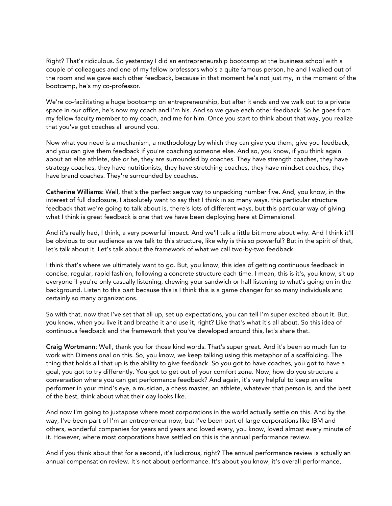Right? That's ridiculous. So yesterday I did an entrepreneurship bootcamp at the business school with a couple of colleagues and one of my fellow professors who's a quite famous person, he and I walked out of the room and we gave each other feedback, because in that moment he's not just my, in the moment of the bootcamp, he's my co-professor.

We're co-facilitating a huge bootcamp on entrepreneurship, but after it ends and we walk out to a private space in our office, he's now my coach and I'm his. And so we gave each other feedback. So he goes from my fellow faculty member to my coach, and me for him. Once you start to think about that way, you realize that you've got coaches all around you.

Now what you need is a mechanism, a methodology by which they can give you them, give you feedback, and you can give them feedback if you're coaching someone else. And so, you know, if you think again about an elite athlete, she or he, they are surrounded by coaches. They have strength coaches, they have strategy coaches, they have nutritionists, they have stretching coaches, they have mindset coaches, they have brand coaches. They're surrounded by coaches.

Catherine Williams: Well, that's the perfect segue way to unpacking number five. And, you know, in the interest of full disclosure, I absolutely want to say that I think in so many ways, this particular structure feedback that we're going to talk about is, there's lots of different ways, but this particular way of giving what I think is great feedback is one that we have been deploying here at Dimensional.

And it's really had, I think, a very powerful impact. And we'll talk a little bit more about why. And I think it'll be obvious to our audience as we talk to this structure, like why is this so powerful? But in the spirit of that, let's talk about it. Let's talk about the framework of what we call two-by-two feedback.

I think that's where we ultimately want to go. But, you know, this idea of getting continuous feedback in concise, regular, rapid fashion, following a concrete structure each time. I mean, this is it's, you know, sit up everyone if you're only casually listening, chewing your sandwich or half listening to what's going on in the background. Listen to this part because this is I think this is a game changer for so many individuals and certainly so many organizations.

So with that, now that I've set that all up, set up expectations, you can tell I'm super excited about it. But, you know, when you live it and breathe it and use it, right? Like that's what it's all about. So this idea of continuous feedback and the framework that you've developed around this, let's share that.

Craig Wortmann: Well, thank you for those kind words. That's super great. And it's been so much fun to work with Dimensional on this. So, you know, we keep talking using this metaphor of a scaffolding. The thing that holds all that up is the ability to give feedback. So you got to have coaches, you got to have a goal, you got to try differently. You got to get out of your comfort zone. Now, how do you structure a conversation where you can get performance feedback? And again, it's very helpful to keep an elite performer in your mind's eye, a musician, a chess master, an athlete, whatever that person is, and the best of the best, think about what their day looks like.

And now I'm going to juxtapose where most corporations in the world actually settle on this. And by the way, I've been part of I'm an entrepreneur now, but I've been part of large corporations like IBM and others, wonderful companies for years and years and loved every, you know, loved almost every minute of it. However, where most corporations have settled on this is the annual performance review.

And if you think about that for a second, it's ludicrous, right? The annual performance review is actually an annual compensation review. It's not about performance. It's about you know, it's overall performance,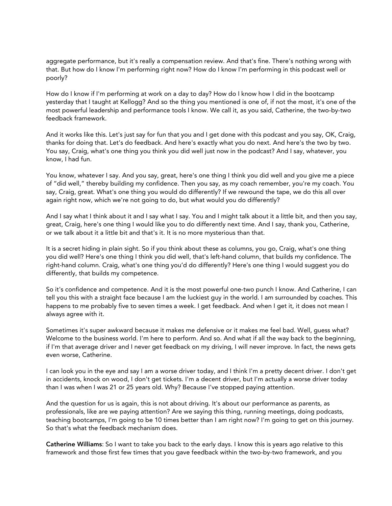aggregate performance, but it's really a compensation review. And that's fine. There's nothing wrong with that. But how do I know I'm performing right now? How do I know I'm performing in this podcast well or poorly?

How do I know if I'm performing at work on a day to day? How do I know how I did in the bootcamp yesterday that I taught at Kellogg? And so the thing you mentioned is one of, if not the most, it's one of the most powerful leadership and performance tools I know. We call it, as you said, Catherine, the two-by-two feedback framework.

And it works like this. Let's just say for fun that you and I get done with this podcast and you say, OK, Craig, thanks for doing that. Let's do feedback. And here's exactly what you do next. And here's the two by two. You say, Craig, what's one thing you think you did well just now in the podcast? And I say, whatever, you know, I had fun.

You know, whatever I say. And you say, great, here's one thing I think you did well and you give me a piece of "did well," thereby building my confidence. Then you say, as my coach remember, you're my coach. You say, Craig, great. What's one thing you would do differently? If we rewound the tape, we do this all over again right now, which we're not going to do, but what would you do differently?

And I say what I think about it and I say what I say. You and I might talk about it a little bit, and then you say, great, Craig, here's one thing I would like you to do differently next time. And I say, thank you, Catherine, or we talk about it a little bit and that's it. It is no more mysterious than that.

It is a secret hiding in plain sight. So if you think about these as columns, you go, Craig, what's one thing you did well? Here's one thing I think you did well, that's left-hand column, that builds my confidence. The right-hand column. Craig, what's one thing you'd do differently? Here's one thing I would suggest you do differently, that builds my competence.

So it's confidence and competence. And it is the most powerful one-two punch I know. And Catherine, I can tell you this with a straight face because I am the luckiest guy in the world. I am surrounded by coaches. This happens to me probably five to seven times a week. I get feedback. And when I get it, it does not mean I always agree with it.

Sometimes it's super awkward because it makes me defensive or it makes me feel bad. Well, guess what? Welcome to the business world. I'm here to perform. And so. And what if all the way back to the beginning, if I'm that average driver and I never get feedback on my driving, I will never improve. In fact, the news gets even worse, Catherine.

I can look you in the eye and say I am a worse driver today, and I think I'm a pretty decent driver. I don't get in accidents, knock on wood, I don't get tickets. I'm a decent driver, but I'm actually a worse driver today than I was when I was 21 or 25 years old. Why? Because I've stopped paying attention.

And the question for us is again, this is not about driving. It's about our performance as parents, as professionals, like are we paying attention? Are we saying this thing, running meetings, doing podcasts, teaching bootcamps, I'm going to be 10 times better than I am right now? I'm going to get on this journey. So that's what the feedback mechanism does.

Catherine Williams: So I want to take you back to the early days. I know this is years ago relative to this framework and those first few times that you gave feedback within the two-by-two framework, and you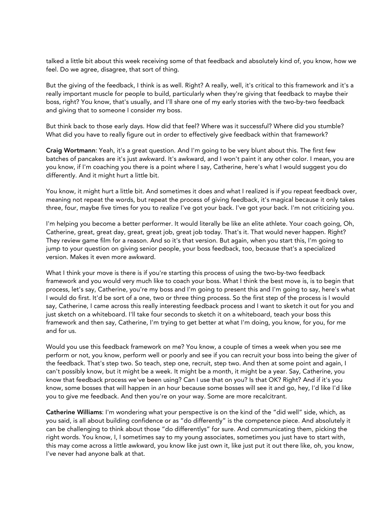talked a little bit about this week receiving some of that feedback and absolutely kind of, you know, how we feel. Do we agree, disagree, that sort of thing.

But the giving of the feedback, I think is as well. Right? A really, well, it's critical to this framework and it's a really important muscle for people to build, particularly when they're giving that feedback to maybe their boss, right? You know, that's usually, and I'll share one of my early stories with the two-by-two feedback and giving that to someone I consider my boss.

But think back to those early days. How did that feel? Where was it successful? Where did you stumble? What did you have to really figure out in order to effectively give feedback within that framework?

Craig Wortmann: Yeah, it's a great question. And I'm going to be very blunt about this. The first few batches of pancakes are it's just awkward. It's awkward, and I won't paint it any other color. I mean, you are you know, if I'm coaching you there is a point where I say, Catherine, here's what I would suggest you do differently. And it might hurt a little bit.

You know, it might hurt a little bit. And sometimes it does and what I realized is if you repeat feedback over, meaning not repeat the words, but repeat the process of giving feedback, it's magical because it only takes three, four, maybe five times for you to realize I've got your back. I've got your back. I'm not criticizing you.

I'm helping you become a better performer. It would literally be like an elite athlete. Your coach going, Oh, Catherine, great, great day, great, great job, great job today. That's it. That would never happen. Right? They review game film for a reason. And so it's that version. But again, when you start this, I'm going to jump to your question on giving senior people, your boss feedback, too, because that's a specialized version. Makes it even more awkward.

What I think your move is there is if you're starting this process of using the two-by-two feedback framework and you would very much like to coach your boss. What I think the best move is, is to begin that process, let's say, Catherine, you're my boss and I'm going to present this and I'm going to say, here's what I would do first. It'd be sort of a one, two or three thing process. So the first step of the process is I would say, Catherine, I came across this really interesting feedback process and I want to sketch it out for you and just sketch on a whiteboard. I'll take four seconds to sketch it on a whiteboard, teach your boss this framework and then say, Catherine, I'm trying to get better at what I'm doing, you know, for you, for me and for us.

Would you use this feedback framework on me? You know, a couple of times a week when you see me perform or not, you know, perform well or poorly and see if you can recruit your boss into being the giver of the feedback. That's step two. So teach, step one, recruit, step two. And then at some point and again, I can't possibly know, but it might be a week. It might be a month, it might be a year. Say, Catherine, you know that feedback process we've been using? Can I use that on you? Is that OK? Right? And if it's you know, some bosses that will happen in an hour because some bosses will see it and go, hey, I'd like I'd like you to give me feedback. And then you're on your way. Some are more recalcitrant.

Catherine Williams: I'm wondering what your perspective is on the kind of the "did well" side, which, as you said, is all about building confidence or as "do differently" is the competence piece. And absolutely it can be challenging to think about those "do differentlys" for sure. And communicating them, picking the right words. You know, I, I sometimes say to my young associates, sometimes you just have to start with, this may come across a little awkward, you know like just own it, like just put it out there like, oh, you know, I've never had anyone balk at that.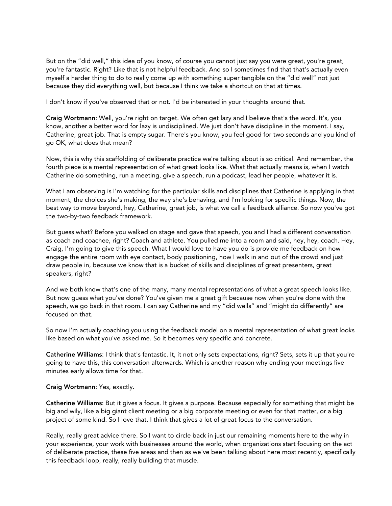But on the "did well," this idea of you know, of course you cannot just say you were great, you're great, you're fantastic. Right? Like that is not helpful feedback. And so I sometimes find that that's actually even myself a harder thing to do to really come up with something super tangible on the "did well" not just because they did everything well, but because I think we take a shortcut on that at times.

I don't know if you've observed that or not. I'd be interested in your thoughts around that.

Craig Wortmann: Well, you're right on target. We often get lazy and I believe that's the word. It's, you know, another a better word for lazy is undisciplined. We just don't have discipline in the moment. I say, Catherine, great job. That is empty sugar. There's you know, you feel good for two seconds and you kind of go OK, what does that mean?

Now, this is why this scaffolding of deliberate practice we're talking about is so critical. And remember, the fourth piece is a mental representation of what great looks like. What that actually means is, when I watch Catherine do something, run a meeting, give a speech, run a podcast, lead her people, whatever it is.

What I am observing is I'm watching for the particular skills and disciplines that Catherine is applying in that moment, the choices she's making, the way she's behaving, and I'm looking for specific things. Now, the best way to move beyond, hey, Catherine, great job, is what we call a feedback alliance. So now you've got the two-by-two feedback framework.

But guess what? Before you walked on stage and gave that speech, you and I had a different conversation as coach and coachee, right? Coach and athlete. You pulled me into a room and said, hey, hey, coach. Hey, Craig, I'm going to give this speech. What I would love to have you do is provide me feedback on how I engage the entire room with eye contact, body positioning, how I walk in and out of the crowd and just draw people in, because we know that is a bucket of skills and disciplines of great presenters, great speakers, right?

And we both know that's one of the many, many mental representations of what a great speech looks like. But now guess what you've done? You've given me a great gift because now when you're done with the speech, we go back in that room. I can say Catherine and my "did wells" and "might do differently" are focused on that.

So now I'm actually coaching you using the feedback model on a mental representation of what great looks like based on what you've asked me. So it becomes very specific and concrete.

Catherine Williams: I think that's fantastic. It, it not only sets expectations, right? Sets, sets it up that you're going to have this, this conversation afterwards. Which is another reason why ending your meetings five minutes early allows time for that.

### Craig Wortmann: Yes, exactly.

Catherine Williams: But it gives a focus. It gives a purpose. Because especially for something that might be big and wily, like a big giant client meeting or a big corporate meeting or even for that matter, or a big project of some kind. So I love that. I think that gives a lot of great focus to the conversation.

Really, really great advice there. So I want to circle back in just our remaining moments here to the why in your experience, your work with businesses around the world, when organizations start focusing on the act of deliberate practice, these five areas and then as we've been talking about here most recently, specifically this feedback loop, really, really building that muscle.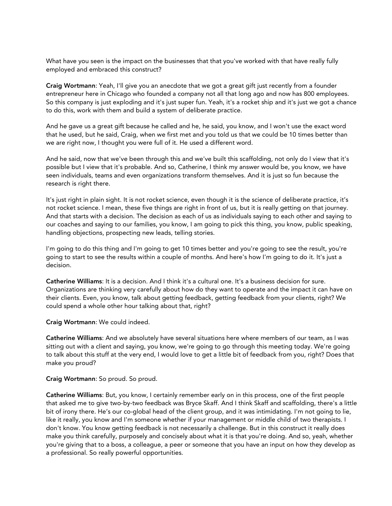What have you seen is the impact on the businesses that that you've worked with that have really fully employed and embraced this construct?

Craig Wortmann: Yeah, I'll give you an anecdote that we got a great gift just recently from a founder entrepreneur here in Chicago who founded a company not all that long ago and now has 800 employees. So this company is just exploding and it's just super fun. Yeah, it's a rocket ship and it's just we got a chance to do this, work with them and build a system of deliberate practice.

And he gave us a great gift because he called and he, he said, you know, and I won't use the exact word that he used, but he said, Craig, when we first met and you told us that we could be 10 times better than we are right now, I thought you were full of it. He used a different word.

And he said, now that we've been through this and we've built this scaffolding, not only do I view that it's possible but I view that it's probable. And so, Catherine, I think my answer would be, you know, we have seen individuals, teams and even organizations transform themselves. And it is just so fun because the research is right there.

It's just right in plain sight. It is not rocket science, even though it is the science of deliberate practice, it's not rocket science. I mean, these five things are right in front of us, but it is really getting on that journey. And that starts with a decision. The decision as each of us as individuals saying to each other and saying to our coaches and saying to our families, you know, I am going to pick this thing, you know, public speaking, handling objections, prospecting new leads, telling stories.

I'm going to do this thing and I'm going to get 10 times better and you're going to see the result, you're going to start to see the results within a couple of months. And here's how I'm going to do it. It's just a decision.

Catherine Williams: It is a decision. And I think it's a cultural one. It's a business decision for sure. Organizations are thinking very carefully about how do they want to operate and the impact it can have on their clients. Even, you know, talk about getting feedback, getting feedback from your clients, right? We could spend a whole other hour talking about that, right?

Craig Wortmann: We could indeed.

Catherine Williams: And we absolutely have several situations here where members of our team, as I was sitting out with a client and saying, you know, we're going to go through this meeting today. We're going to talk about this stuff at the very end, I would love to get a little bit of feedback from you, right? Does that make you proud?

Craig Wortmann: So proud. So proud.

Catherine Williams: But, you know, I certainly remember early on in this process, one of the first people that asked me to give two-by-two feedback was Bryce Skaff. And I think Skaff and scaffolding, there's a little bit of irony there. He's our co-global head of the client group, and it was intimidating. I'm not going to lie, like it really, you know and I'm someone whether if your management or middle child of two therapists. I don't know. You know getting feedback is not necessarily a challenge. But in this construct it really does make you think carefully, purposely and concisely about what it is that you're doing. And so, yeah, whether you're giving that to a boss, a colleague, a peer or someone that you have an input on how they develop as a professional. So really powerful opportunities.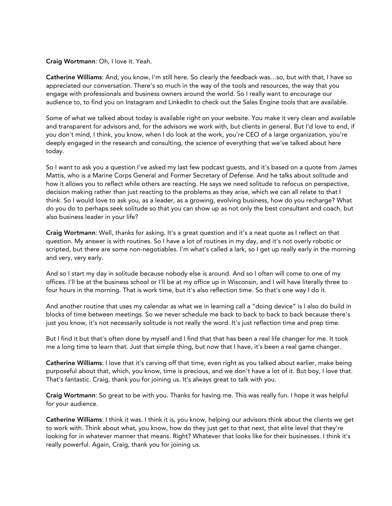#### Craig Wortmann: Oh, I love it. Yeah.

Catherine Williams: And, you know, I'm still here. So clearly the feedback was…so, but with that, I have so appreciated our conversation. There's so much in the way of the tools and resources, the way that you engage with professionals and business owners around the world. So I really want to encourage our audience to, to find you on Instagram and LinkedIn to check out the Sales Engine tools that are available.

Some of what we talked about today is available right on your website. You make it very clean and available and transparent for advisors and, for the advisors we work with, but clients in general. But I'd love to end, if you don't mind, I think, you know, when I do look at the work, you're CEO of a large organization, you're deeply engaged in the research and consulting, the science of everything that we've talked about here today.

So I want to ask you a question I've asked my last few podcast guests, and it's based on a quote from James Mattis, who is a Marine Corps General and Former Secretary of Defense. And he talks about solitude and how it allows you to reflect while others are reacting. He says we need solitude to refocus on perspective, decision making rather than just reacting to the problems as they arise, which we can all relate to that I think. So I would love to ask you, as a leader, as a growing, evolving business, how do you recharge? What do you do to perhaps seek solitude so that you can show up as not only the best consultant and coach, but also business leader in your life?

Craig Wortmann: Well, thanks for asking. It's a great question and it's a neat quote as I reflect on that question. My answer is with routines. So I have a lot of routines in my day, and it's not overly robotic or scripted, but there are some non-negotiables. I'm what's called a lark, so I get up really early in the morning and very, very early.

And so I start my day in solitude because nobody else is around. And so I often will come to one of my offices. I'll be at the business school or I'll be at my office up in Wisconsin, and I will have literally three to four hours in the morning. That is work time, but it's also reflection time. So that's one way I do it.

And another routine that uses my calendar as what we in learning call a "doing device" is I also do build in blocks of time between meetings. So we never schedule me back to back to back to back because there's just you know, it's not necessarily solitude is not really the word. It's just reflection time and prep time.

But I find it but that's often done by myself and I find that that has been a real life changer for me. It took me a long time to learn that. Just that simple thing, but now that I have, it's been a real game changer.

Catherine Williams: I love that it's carving off that time, even right as you talked about earlier, make being purposeful about that, which, you know, time is precious, and we don't have a lot of it. But boy, I love that. That's fantastic. Craig, thank you for joining us. It's always great to talk with you.

Craig Wortmann: So great to be with you. Thanks for having me. This was really fun. I hope it was helpful for your audience.

Catherine Williams: I think it was. I think it is, you know, helping our advisors think about the clients we get to work with. Think about what, you know, how do they just get to that next, that elite level that they're looking for in whatever manner that means. Right? Whatever that looks like for their businesses. I think it's really powerful. Again, Craig, thank you for joining us.